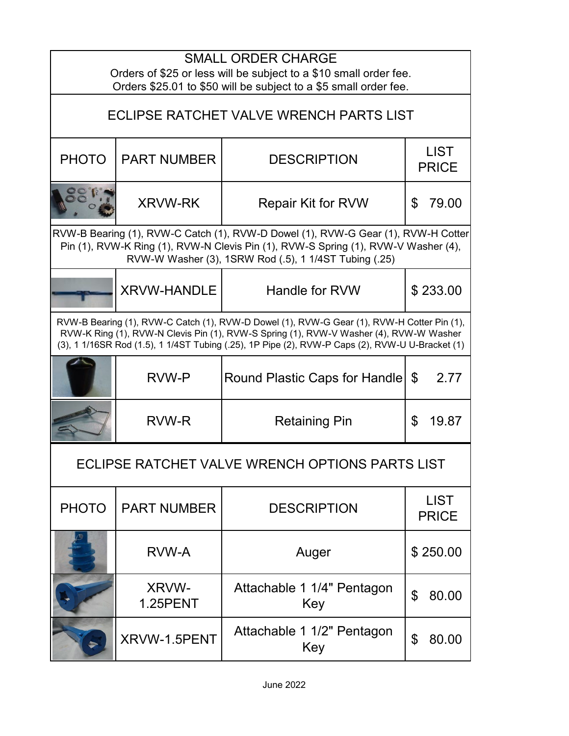| <b>SMALL ORDER CHARGE</b><br>Orders of \$25 or less will be subject to a \$10 small order fee.<br>Orders \$25.01 to \$50 will be subject to a \$5 small order fee.                                                                                                                      |                                 |                                   |                             |  |  |
|-----------------------------------------------------------------------------------------------------------------------------------------------------------------------------------------------------------------------------------------------------------------------------------------|---------------------------------|-----------------------------------|-----------------------------|--|--|
| ECLIPSE RATCHET VALVE WRENCH PARTS LIST                                                                                                                                                                                                                                                 |                                 |                                   |                             |  |  |
| <b>PHOTO</b>                                                                                                                                                                                                                                                                            | <b>PART NUMBER</b>              | <b>DESCRIPTION</b>                | <b>LIST</b><br><b>PRICE</b> |  |  |
|                                                                                                                                                                                                                                                                                         | <b>XRVW-RK</b>                  | <b>Repair Kit for RVW</b>         | 79.00<br>\$                 |  |  |
| RVW-B Bearing (1), RVW-C Catch (1), RVW-D Dowel (1), RVW-G Gear (1), RVW-H Cotter<br>Pin (1), RVW-K Ring (1), RVW-N Clevis Pin (1), RVW-S Spring (1), RVW-V Washer (4),<br>RVW-W Washer (3), 1SRW Rod (.5), 1 1/4ST Tubing (.25)                                                        |                                 |                                   |                             |  |  |
|                                                                                                                                                                                                                                                                                         | <b>XRVW-HANDLE</b>              | Handle for RVW                    | \$233.00                    |  |  |
| RVW-B Bearing (1), RVW-C Catch (1), RVW-D Dowel (1), RVW-G Gear (1), RVW-H Cotter Pin (1),<br>RVW-K Ring (1), RVW-N Clevis Pin (1), RVW-S Spring (1), RVW-V Washer (4), RVW-W Washer<br>(3), 1 1/16SR Rod (1.5), 1 1/4ST Tubing (.25), 1P Pipe (2), RVW-P Caps (2), RVW-U U-Bracket (1) |                                 |                                   |                             |  |  |
|                                                                                                                                                                                                                                                                                         | <b>RVW-P</b>                    | Round Plastic Caps for Handle     | 2.77<br>\$                  |  |  |
|                                                                                                                                                                                                                                                                                         | <b>RVW-R</b>                    | <b>Retaining Pin</b>              | \$<br>19.87                 |  |  |
| ECLIPSE RATCHET VALVE WRENCH OPTIONS PARTS LIST                                                                                                                                                                                                                                         |                                 |                                   |                             |  |  |
| <b>PHOTO</b>                                                                                                                                                                                                                                                                            | <b>PART NUMBER</b>              | <b>DESCRIPTION</b>                | <b>LIST</b><br><b>PRICE</b> |  |  |
|                                                                                                                                                                                                                                                                                         | RVW-A                           | Auger                             | \$250.00                    |  |  |
|                                                                                                                                                                                                                                                                                         | <b>XRVW-</b><br><b>1.25PENT</b> | Attachable 1 1/4" Pentagon<br>Key | $\mathfrak{P}$<br>80.00     |  |  |
|                                                                                                                                                                                                                                                                                         | XRVW-1.5PENT                    | Attachable 1 1/2" Pentagon<br>Key | \$<br>80.00                 |  |  |